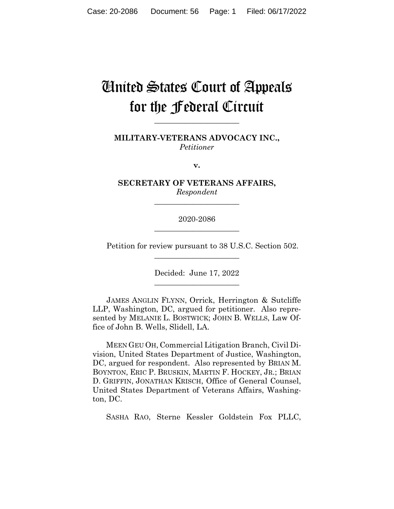# United States Court of Appeals for the Federal Circuit

**MILITARY-VETERANS ADVOCACY INC.,** *Petitioner*

**\_\_\_\_\_\_\_\_\_\_\_\_\_\_\_\_\_\_\_\_\_\_** 

**v.**

**SECRETARY OF VETERANS AFFAIRS,** *Respondent*

**\_\_\_\_\_\_\_\_\_\_\_\_\_\_\_\_\_\_\_\_\_\_** 

2020-2086 **\_\_\_\_\_\_\_\_\_\_\_\_\_\_\_\_\_\_\_\_\_\_** 

Petition for review pursuant to 38 U.S.C. Section 502.

Decided: June 17, 2022 \_\_\_\_\_\_\_\_\_\_\_\_\_\_\_\_\_\_\_\_\_\_

\_\_\_\_\_\_\_\_\_\_\_\_\_\_\_\_\_\_\_\_\_\_

JAMES ANGLIN FLYNN, Orrick, Herrington & Sutcliffe LLP, Washington, DC, argued for petitioner. Also represented by MELANIE L. BOSTWICK; JOHN B. WELLS, Law Office of John B. Wells, Slidell, LA.

 MEEN GEU OH, Commercial Litigation Branch, Civil Division, United States Department of Justice, Washington, DC, argued for respondent. Also represented by BRIAN M. BOYNTON, ERIC P. BRUSKIN, MARTIN F. HOCKEY, JR.; BRIAN D. GRIFFIN, JONATHAN KRISCH, Office of General Counsel, United States Department of Veterans Affairs, Washington, DC.

SASHA RAO, Sterne Kessler Goldstein Fox PLLC,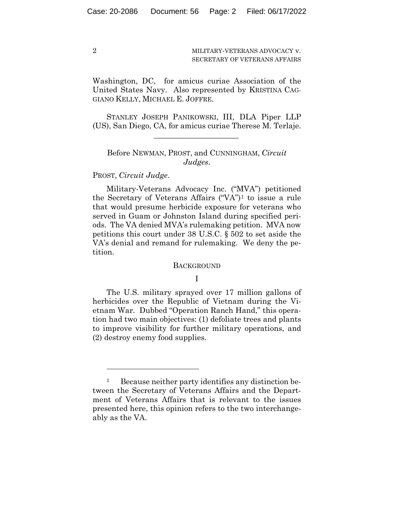2

MILITARY-VETERANS ADVOCACY v. SECRETARY OF VETERANS AFFAIRS

Washington, DC, for amicus curiae Association of the United States Navy. Also represented by KRISTINA CAG-GIANO KELLY, MICHAEL E. JOFFRE.

STANLEY JOSEPH PANIKOWSKI, III, DLA Piper LLP (US), San Diego, CA, for amicus curiae Therese M. Terlaje.

 $\mathcal{L}_\text{max}$  and  $\mathcal{L}_\text{max}$  and  $\mathcal{L}_\text{max}$  and  $\mathcal{L}_\text{max}$ 

## Before NEWMAN, PROST, and CUNNINGHAM, *Circuit Judges*.

## PROST, *Circuit Judge*.

Military-Veterans Advocacy Inc. ("MVA") petitioned the Secretary of Veterans Affairs ("VA")1 to issue a rule that would presume herbicide exposure for veterans who served in Guam or Johnston Island during specified periods. The VA denied MVA's rulemaking petition. MVA now petitions this court under 38 U.S.C. § 502 to set aside the VA's denial and remand for rulemaking. We deny the petition.

#### **BACKGROUND**

## I

The U.S. military sprayed over 17 million gallons of herbicides over the Republic of Vietnam during the Vietnam War. Dubbed "Operation Ranch Hand," this operation had two main objectives: (1) defoliate trees and plants to improve visibility for further military operations, and (2) destroy enemy food supplies.

<sup>&</sup>lt;sup>1</sup> Because neither party identifies any distinction between the Secretary of Veterans Affairs and the Department of Veterans Affairs that is relevant to the issues presented here, this opinion refers to the two interchangeably as the VA.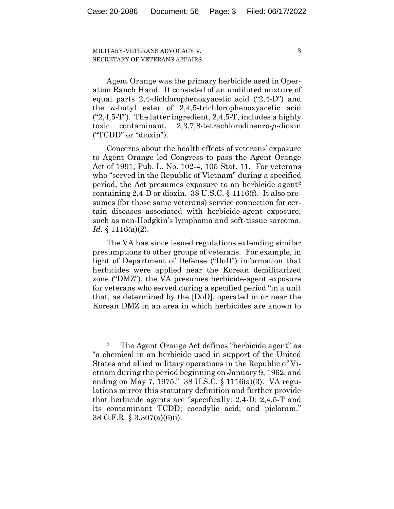3

Agent Orange was the primary herbicide used in Operation Ranch Hand. It consisted of an undiluted mixture of equal parts 2,4-dichlorophenoxyacetic acid ("2,4-D") and the *n*-butyl ester of 2,4,5-trichlorophenoxyacetic acid  $("2,4,5-T")$ . The latter ingredient, 2,4,5-T, includes a highly toxic contaminant, 2,3,7,8-tetrachlorodibenzo-*p*-dioxin ("TCDD" or "dioxin").

Concerns about the health effects of veterans' exposure to Agent Orange led Congress to pass the Agent Orange Act of 1991, Pub. L. No. 102-4, 105 Stat. 11. For veterans who "served in the Republic of Vietnam" during a specified period, the Act presumes exposure to an herbicide agent2 containing 2,4-D or dioxin. 38 U.S.C. § 1116(f). It also presumes (for those same veterans) service connection for certain diseases associated with herbicide-agent exposure, such as non-Hodgkin's lymphoma and soft-tissue sarcoma. *Id.* § 1116(a)(2).

The VA has since issued regulations extending similar presumptions to other groups of veterans. For example, in light of Department of Defense ("DoD") information that herbicides were applied near the Korean demilitarized zone ("DMZ"), the VA presumes herbicide-agent exposure for veterans who served during a specified period "in a unit that, as determined by the [DoD], operated in or near the Korean DMZ in an area in which herbicides are known to

<sup>2</sup> The Agent Orange Act defines "herbicide agent" as "a chemical in an herbicide used in support of the United States and allied military operations in the Republic of Vietnam during the period beginning on January 9, 1962, and ending on May 7, 1975." 38 U.S.C. § 1116(a)(3). VA regulations mirror this statutory definition and further provide that herbicide agents are "specifically: 2,4-D; 2,4,5-T and its contaminant TCDD; cacodylic acid; and picloram." 38 C.F.R. § 3.307(a)(6)(i).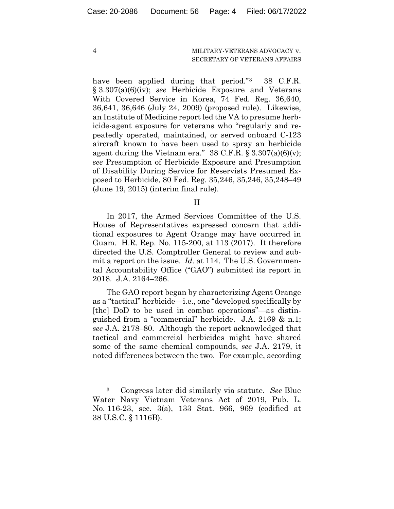4

#### MILITARY-VETERANS ADVOCACY v. SECRETARY OF VETERANS AFFAIRS

have been applied during that period."<sup>3</sup> 38 C.F.R. § 3.307(a)(6)(iv); *see* Herbicide Exposure and Veterans With Covered Service in Korea, 74 Fed. Reg. 36,640, 36,641, 36,646 (July 24, 2009) (proposed rule). Likewise, an Institute of Medicine report led the VA to presume herbicide-agent exposure for veterans who "regularly and repeatedly operated, maintained, or served onboard C-123 aircraft known to have been used to spray an herbicide agent during the Vietnam era."  $38 \text{ C.F.R.}$  §  $3.307(a)(6)(v)$ ; *see* Presumption of Herbicide Exposure and Presumption of Disability During Service for Reservists Presumed Exposed to Herbicide, 80 Fed. Reg. 35,246, 35,246, 35,248–49 (June 19, 2015) (interim final rule).

II

In 2017, the Armed Services Committee of the U.S. House of Representatives expressed concern that additional exposures to Agent Orange may have occurred in Guam. H.R. Rep. No. 115-200, at 113 (2017). It therefore directed the U.S. Comptroller General to review and submit a report on the issue. *Id.* at 114. The U.S. Governmental Accountability Office ("GAO") submitted its report in 2018. J.A. 2164–266.

The GAO report began by characterizing Agent Orange as a "tactical" herbicide—i.e., one "developed specifically by [the] DoD to be used in combat operations"—as distinguished from a "commercial" herbicide. J.A. 2169 & n.1; *see* J.A. 2178–80. Although the report acknowledged that tactical and commercial herbicides might have shared some of the same chemical compounds, *see* J.A. 2179, it noted differences between the two. For example, according

<sup>3</sup> Congress later did similarly via statute. *See* Blue Water Navy Vietnam Veterans Act of 2019, Pub. L. No. 116-23, sec. 3(a), 133 Stat. 966, 969 (codified at 38 U.S.C. § 1116B).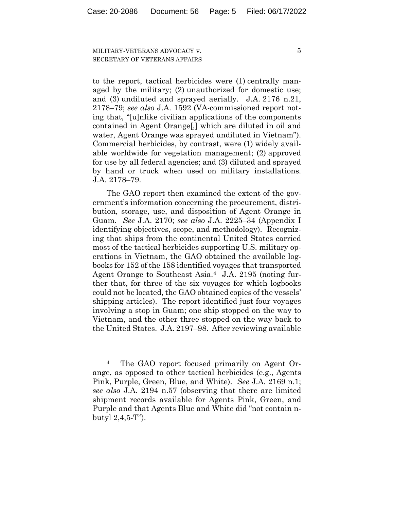5

to the report, tactical herbicides were (1) centrally managed by the military; (2) unauthorized for domestic use; and (3) undiluted and sprayed aerially. J.A. 2176 n.21, 2178–79; *see also* J.A. 1592 (VA-commissioned report noting that, "[u]nlike civilian applications of the components contained in Agent Orange[,] which are diluted in oil and water, Agent Orange was sprayed undiluted in Vietnam"). Commercial herbicides, by contrast, were (1) widely available worldwide for vegetation management; (2) approved for use by all federal agencies; and (3) diluted and sprayed by hand or truck when used on military installations. J.A. 2178–79.

The GAO report then examined the extent of the government's information concerning the procurement, distribution, storage, use, and disposition of Agent Orange in Guam. *See* J.A. 2170; *see also* J.A. 2225–34 (Appendix I identifying objectives, scope, and methodology). Recognizing that ships from the continental United States carried most of the tactical herbicides supporting U.S. military operations in Vietnam, the GAO obtained the available logbooks for 152 of the 158 identified voyages that transported Agent Orange to Southeast Asia.4 J.A. 2195 (noting further that, for three of the six voyages for which logbooks could not be located, the GAO obtained copies of the vessels' shipping articles). The report identified just four voyages involving a stop in Guam; one ship stopped on the way to Vietnam, and the other three stopped on the way back to the United States. J.A. 2197–98. After reviewing available

<sup>4</sup> The GAO report focused primarily on Agent Orange, as opposed to other tactical herbicides (e.g., Agents Pink, Purple, Green, Blue, and White). *See* J.A. 2169 n.1; *see also* J.A. 2194 n.57 (observing that there are limited shipment records available for Agents Pink, Green, and Purple and that Agents Blue and White did "not contain nbutyl 2,4,5-T").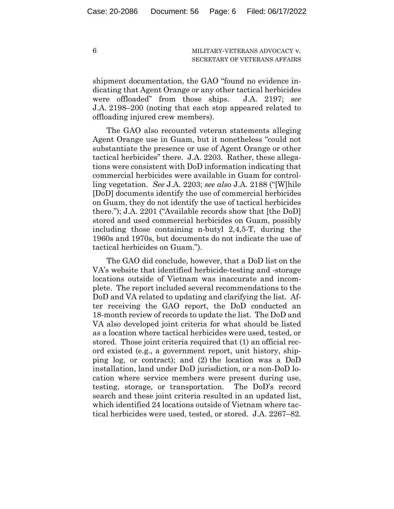shipment documentation, the GAO "found no evidence indicating that Agent Orange or any other tactical herbicides were offloaded" from those ships. J.A. 2197; *see*  J.A. 2198–200 (noting that each stop appeared related to offloading injured crew members).

The GAO also recounted veteran statements alleging Agent Orange use in Guam, but it nonetheless "could not substantiate the presence or use of Agent Orange or other tactical herbicides" there. J.A. 2203. Rather, these allegations were consistent with DoD information indicating that commercial herbicides were available in Guam for controlling vegetation. *See* J.A. 2203; *see also* J.A. 2188 ("[W]hile [DoD] documents identify the use of commercial herbicides on Guam, they do not identify the use of tactical herbicides there."); J.A. 2201 ("Available records show that [the DoD] stored and used commercial herbicides on Guam, possibly including those containing n-butyl 2,4,5-T, during the 1960s and 1970s, but documents do not indicate the use of tactical herbicides on Guam.").

The GAO did conclude, however, that a DoD list on the VA's website that identified herbicide-testing and -storage locations outside of Vietnam was inaccurate and incomplete. The report included several recommendations to the DoD and VA related to updating and clarifying the list. After receiving the GAO report, the DoD conducted an 18-month review of records to update the list. The DoD and VA also developed joint criteria for what should be listed as a location where tactical herbicides were used, tested, or stored. Those joint criteria required that (1) an official record existed (e.g., a government report, unit history, shipping log, or contract); and (2) the location was a DoD installation, land under DoD jurisdiction, or a non-DoD location where service members were present during use, testing, storage, or transportation. The DoD's record search and these joint criteria resulted in an updated list, which identified 24 locations outside of Vietnam where tactical herbicides were used, tested, or stored. J.A. 2267–82.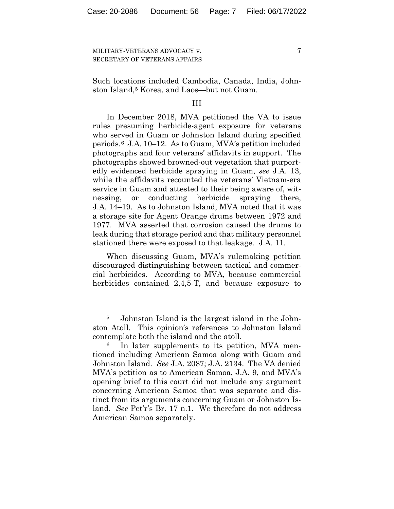7

Such locations included Cambodia, Canada, India, Johnston Island,<sup>5</sup> Korea, and Laos—but not Guam.

### III

In December 2018, MVA petitioned the VA to issue rules presuming herbicide-agent exposure for veterans who served in Guam or Johnston Island during specified periods.6 J.A. 10–12. As to Guam, MVA's petition included photographs and four veterans' affidavits in support. The photographs showed browned-out vegetation that purportedly evidenced herbicide spraying in Guam, *see* J.A. 13, while the affidavits recounted the veterans' Vietnam-era service in Guam and attested to their being aware of, witnessing, or conducting herbicide spraying there, J.A. 14–19. As to Johnston Island, MVA noted that it was a storage site for Agent Orange drums between 1972 and 1977. MVA asserted that corrosion caused the drums to leak during that storage period and that military personnel stationed there were exposed to that leakage. J.A. 11.

When discussing Guam, MVA's rulemaking petition discouraged distinguishing between tactical and commercial herbicides. According to MVA, because commercial herbicides contained 2,4,5-T, and because exposure to

<sup>5</sup> Johnston Island is the largest island in the Johnston Atoll. This opinion's references to Johnston Island contemplate both the island and the atoll.

In later supplements to its petition, MVA mentioned including American Samoa along with Guam and Johnston Island. *See* J.A. 2087; J.A. 2134. The VA denied MVA's petition as to American Samoa, J.A. 9, and MVA's opening brief to this court did not include any argument concerning American Samoa that was separate and distinct from its arguments concerning Guam or Johnston Island. *See* Pet'r's Br. 17 n.1. We therefore do not address American Samoa separately.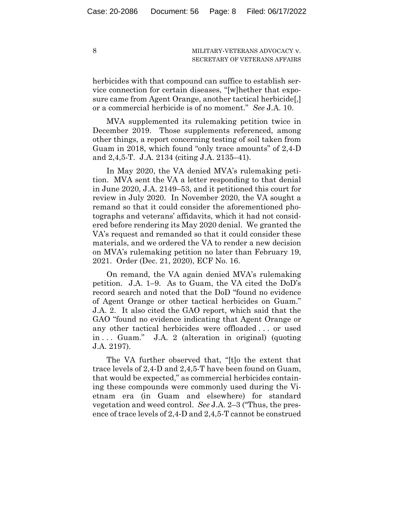herbicides with that compound can suffice to establish service connection for certain diseases, "[w]hether that exposure came from Agent Orange, another tactical herbicide[,] or a commercial herbicide is of no moment." *See* J.A. 10.

MVA supplemented its rulemaking petition twice in December 2019. Those supplements referenced, among other things, a report concerning testing of soil taken from Guam in 2018, which found "only trace amounts" of 2,4-D and 2,4,5-T. J.A. 2134 (citing J.A. 2135–41).

In May 2020, the VA denied MVA's rulemaking petition. MVA sent the VA a letter responding to that denial in June 2020, J.A. 2149–53, and it petitioned this court for review in July 2020. In November 2020, the VA sought a remand so that it could consider the aforementioned photographs and veterans' affidavits, which it had not considered before rendering its May 2020 denial. We granted the VA's request and remanded so that it could consider these materials, and we ordered the VA to render a new decision on MVA's rulemaking petition no later than February 19, 2021. Order (Dec. 21, 2020), ECF No. 16.

On remand, the VA again denied MVA's rulemaking petition. J.A. 1–9. As to Guam, the VA cited the DoD's record search and noted that the DoD "found no evidence of Agent Orange or other tactical herbicides on Guam." J.A. 2. It also cited the GAO report, which said that the GAO "found no evidence indicating that Agent Orange or any other tactical herbicides were offloaded . . . or used in . . . Guam." J.A. 2 (alteration in original) (quoting J.A. 2197).

The VA further observed that, "[t]o the extent that trace levels of 2,4-D and 2,4,5-T have been found on Guam, that would be expected," as commercial herbicides containing these compounds were commonly used during the Vietnam era (in Guam and elsewhere) for standard vegetation and weed control. *See* J.A. 2–3 ("Thus, the presence of trace levels of 2,4-D and 2,4,5-T cannot be construed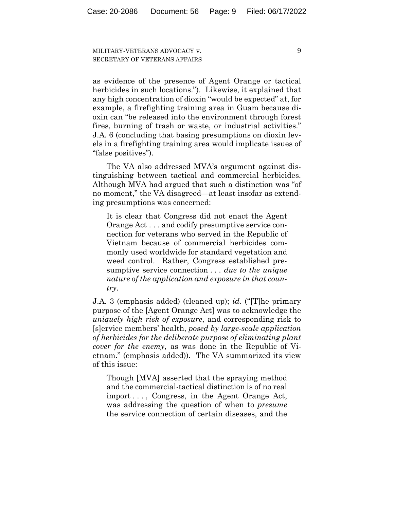9

as evidence of the presence of Agent Orange or tactical herbicides in such locations."). Likewise, it explained that any high concentration of dioxin "would be expected" at, for example, a firefighting training area in Guam because dioxin can "be released into the environment through forest fires, burning of trash or waste, or industrial activities." J.A. 6 (concluding that basing presumptions on dioxin levels in a firefighting training area would implicate issues of "false positives").

The VA also addressed MVA's argument against distinguishing between tactical and commercial herbicides. Although MVA had argued that such a distinction was "of no moment," the VA disagreed—at least insofar as extending presumptions was concerned:

It is clear that Congress did not enact the Agent Orange Act . . . and codify presumptive service connection for veterans who served in the Republic of Vietnam because of commercial herbicides commonly used worldwide for standard vegetation and weed control. Rather, Congress established presumptive service connection . . . *due to the unique nature of the application and exposure in that country*.

J.A. 3 (emphasis added) (cleaned up); *id.* ("[T]he primary purpose of the [Agent Orange Act] was to acknowledge the *uniquely high risk of exposure*, and corresponding risk to [s]ervice members' health, *posed by large-scale application of herbicides for the deliberate purpose of eliminating plant cover for the enemy*, as was done in the Republic of Vietnam." (emphasis added)). The VA summarized its view of this issue:

Though [MVA] asserted that the spraying method and the commercial-tactical distinction is of no real import . . . , Congress, in the Agent Orange Act, was addressing the question of when to *presume* the service connection of certain diseases, and the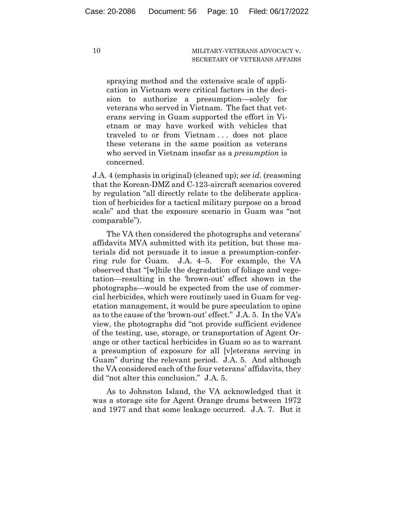spraying method and the extensive scale of application in Vietnam were critical factors in the decision to authorize a presumption—solely for veterans who served in Vietnam. The fact that veterans serving in Guam supported the effort in Vietnam or may have worked with vehicles that traveled to or from Vietnam . . . does not place these veterans in the same position as veterans who served in Vietnam insofar as a *presumption* is concerned.

J.A. 4 (emphasis in original) (cleaned up); *see id.* (reasoning that the Korean-DMZ and C-123-aircraft scenarios covered by regulation "all directly relate to the deliberate application of herbicides for a tactical military purpose on a broad scale" and that the exposure scenario in Guam was "not comparable").

The VA then considered the photographs and veterans' affidavits MVA submitted with its petition, but those materials did not persuade it to issue a presumption-conferring rule for Guam. J.A. 4–5. For example, the VA observed that "[w]hile the degradation of foliage and vegetation—resulting in the 'brown-out' effect shown in the photographs—would be expected from the use of commercial herbicides, which were routinely used in Guam for vegetation management, it would be pure speculation to opine as to the cause of the 'brown-out' effect." J.A. 5. In the VA's view, the photographs did "not provide sufficient evidence of the testing, use, storage, or transportation of Agent Orange or other tactical herbicides in Guam so as to warrant a presumption of exposure for all [v]eterans serving in Guam" during the relevant period. J.A. 5. And although the VA considered each of the four veterans' affidavits, they did "not alter this conclusion." J.A. 5.

As to Johnston Island, the VA acknowledged that it was a storage site for Agent Orange drums between 1972 and 1977 and that some leakage occurred. J.A. 7. But it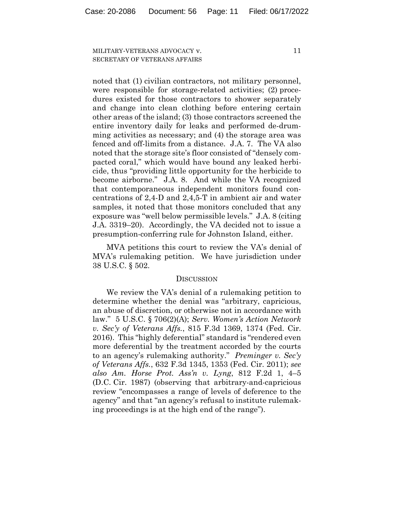11

noted that (1) civilian contractors, not military personnel, were responsible for storage-related activities; (2) procedures existed for those contractors to shower separately and change into clean clothing before entering certain other areas of the island; (3) those contractors screened the entire inventory daily for leaks and performed de-drumming activities as necessary; and (4) the storage area was fenced and off-limits from a distance. J.A. 7. The VA also noted that the storage site's floor consisted of "densely compacted coral," which would have bound any leaked herbicide, thus "providing little opportunity for the herbicide to become airborne." J.A. 8. And while the VA recognized that contemporaneous independent monitors found concentrations of 2,4-D and 2,4,5-T in ambient air and water samples, it noted that those monitors concluded that any exposure was "well below permissible levels." J.A. 8 (citing J.A. 3319–20). Accordingly, the VA decided not to issue a presumption-conferring rule for Johnston Island, either.

MVA petitions this court to review the VA's denial of MVA's rulemaking petition. We have jurisdiction under 38 U.S.C. § 502.

#### **DISCUSSION**

We review the VA's denial of a rulemaking petition to determine whether the denial was "arbitrary, capricious, an abuse of discretion, or otherwise not in accordance with law." 5 U.S.C. § 706(2)(A); *Serv. Women's Action Network v. Sec'y of Veterans Affs.*, 815 F.3d 1369, 1374 (Fed. Cir. 2016). This "highly deferential" standard is "rendered even more deferential by the treatment accorded by the courts to an agency's rulemaking authority." *Preminger v. Sec'y of Veterans Affs.*, 632 F.3d 1345, 1353 (Fed. Cir. 2011); *see also Am. Horse Prot. Ass'n v. Lyng*, 812 F.2d 1, 4–5 (D.C. Cir. 1987) (observing that arbitrary-and-capricious review "encompasses a range of levels of deference to the agency" and that "an agency's refusal to institute rulemaking proceedings is at the high end of the range").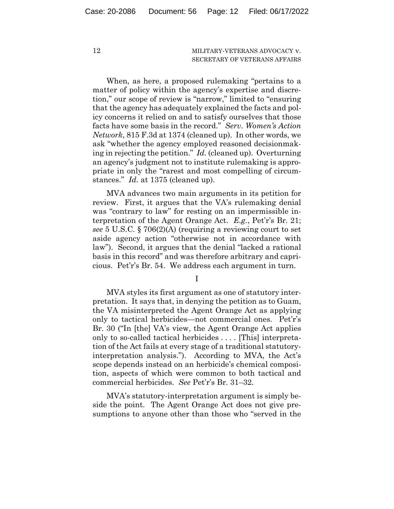When, as here, a proposed rulemaking "pertains to a matter of policy within the agency's expertise and discretion," our scope of review is "narrow," limited to "ensuring that the agency has adequately explained the facts and policy concerns it relied on and to satisfy ourselves that those facts have some basis in the record." *Serv. Women's Action Network*, 815 F.3d at 1374 (cleaned up). In other words, we ask "whether the agency employed reasoned decisionmaking in rejecting the petition." *Id.* (cleaned up). Overturning an agency's judgment not to institute rulemaking is appropriate in only the "rarest and most compelling of circumstances." *Id.* at 1375 (cleaned up).

MVA advances two main arguments in its petition for review. First, it argues that the VA's rulemaking denial was "contrary to law" for resting on an impermissible interpretation of the Agent Orange Act. *E.g.*, Pet'r's Br. 21; *see* 5 U.S.C. § 706(2)(A) (requiring a reviewing court to set aside agency action "otherwise not in accordance with law"). Second, it argues that the denial "lacked a rational basis in this record" and was therefore arbitrary and capricious. Pet'r's Br. 54. We address each argument in turn.

I

MVA styles its first argument as one of statutory interpretation. It says that, in denying the petition as to Guam, the VA misinterpreted the Agent Orange Act as applying only to tactical herbicides—not commercial ones. Pet'r's Br. 30 ("In [the] VA's view, the Agent Orange Act applies only to so-called tactical herbicides . . . . [This] interpretation of the Act fails at every stage of a traditional statutoryinterpretation analysis."). According to MVA, the Act's scope depends instead on an herbicide's chemical composition, aspects of which were common to both tactical and commercial herbicides. *See* Pet'r's Br. 31–32.

MVA's statutory-interpretation argument is simply beside the point. The Agent Orange Act does not give presumptions to anyone other than those who "served in the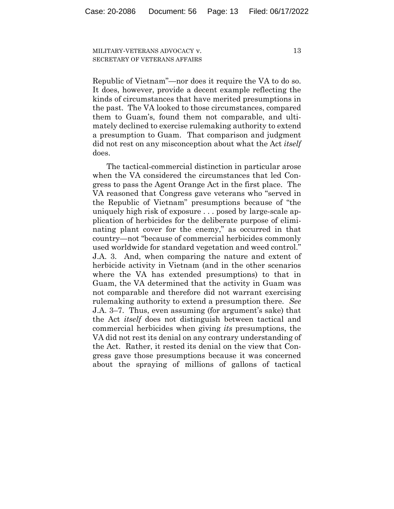13

Republic of Vietnam"—nor does it require the VA to do so. It does, however, provide a decent example reflecting the kinds of circumstances that have merited presumptions in the past. The VA looked to those circumstances, compared them to Guam's, found them not comparable, and ultimately declined to exercise rulemaking authority to extend a presumption to Guam. That comparison and judgment did not rest on any misconception about what the Act *itself*  does.

The tactical-commercial distinction in particular arose when the VA considered the circumstances that led Congress to pass the Agent Orange Act in the first place. The VA reasoned that Congress gave veterans who "served in the Republic of Vietnam" presumptions because of "the uniquely high risk of exposure . . . posed by large-scale application of herbicides for the deliberate purpose of eliminating plant cover for the enemy," as occurred in that country—not "because of commercial herbicides commonly used worldwide for standard vegetation and weed control." J.A. 3. And, when comparing the nature and extent of herbicide activity in Vietnam (and in the other scenarios where the VA has extended presumptions) to that in Guam, the VA determined that the activity in Guam was not comparable and therefore did not warrant exercising rulemaking authority to extend a presumption there. *See*  J.A. 3–7. Thus, even assuming (for argument's sake) that the Act *itself* does not distinguish between tactical and commercial herbicides when giving *its* presumptions, the VA did not rest its denial on any contrary understanding of the Act. Rather, it rested its denial on the view that Congress gave those presumptions because it was concerned about the spraying of millions of gallons of tactical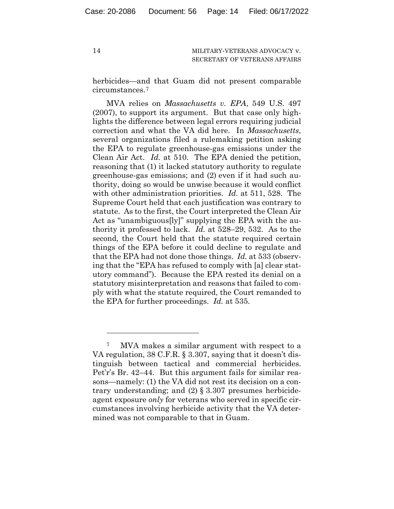herbicides—and that Guam did not present comparable circumstances.7

MVA relies on *Massachusetts v. EPA*, 549 U.S. 497 (2007), to support its argument. But that case only highlights the difference between legal errors requiring judicial correction and what the VA did here. In *Massachusetts*, several organizations filed a rulemaking petition asking the EPA to regulate greenhouse-gas emissions under the Clean Air Act. *Id.* at 510. The EPA denied the petition, reasoning that (1) it lacked statutory authority to regulate greenhouse-gas emissions; and (2) even if it had such authority, doing so would be unwise because it would conflict with other administration priorities. *Id.* at 511, 528. The Supreme Court held that each justification was contrary to statute. As to the first, the Court interpreted the Clean Air Act as "unambiguous[ly]" supplying the EPA with the authority it professed to lack. *Id.* at 528–29, 532. As to the second, the Court held that the statute required certain things of the EPA before it could decline to regulate and that the EPA had not done those things. *Id.* at 533 (observing that the "EPA has refused to comply with [a] clear statutory command"). Because the EPA rested its denial on a statutory misinterpretation and reasons that failed to comply with what the statute required, the Court remanded to the EPA for further proceedings. *Id.* at 535.

<sup>7</sup> MVA makes a similar argument with respect to a VA regulation, 38 C.F.R. § 3.307, saying that it doesn't distinguish between tactical and commercial herbicides. Pet'r's Br. 42–44. But this argument fails for similar reasons—namely: (1) the VA did not rest its decision on a contrary understanding; and  $(2)$  § 3.307 presumes herbicideagent exposure *only* for veterans who served in specific circumstances involving herbicide activity that the VA determined was not comparable to that in Guam.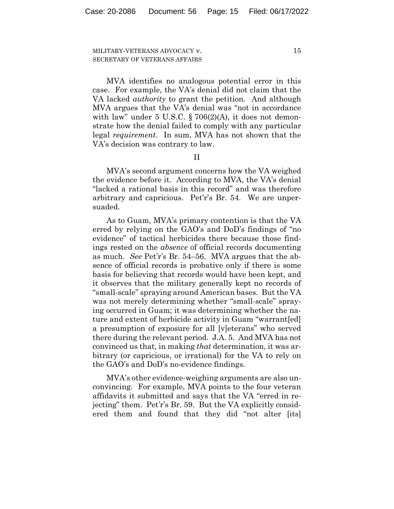MVA identifies no analogous potential error in this case. For example, the VA's denial did not claim that the VA lacked *authority* to grant the petition. And although MVA argues that the VA's denial was "not in accordance with law" under  $5 \text{ U.S.C. } \S$  706(2)(A), it does not demonstrate how the denial failed to comply with any particular legal *requirement*. In sum, MVA has not shown that the VA's decision was contrary to law.

II

MVA's second argument concerns how the VA weighed the evidence before it. According to MVA, the VA's denial "lacked a rational basis in this record" and was therefore arbitrary and capricious. Pet'r's Br. 54. We are unpersuaded.

As to Guam, MVA's primary contention is that the VA erred by relying on the GAO's and DoD's findings of "no evidence" of tactical herbicides there because those findings rested on the *absence* of official records documenting as much. *See* Pet'r's Br. 54–56. MVA argues that the absence of official records is probative only if there is some basis for believing that records would have been kept, and it observes that the military generally kept no records of "small-scale" spraying around American bases. But the VA was not merely determining whether "small-scale" spraying occurred in Guam; it was determining whether the nature and extent of herbicide activity in Guam "warrant[ed] a presumption of exposure for all [v]eterans" who served there during the relevant period. J.A. 5. And MVA has not convinced us that, in making *that* determination, it was arbitrary (or capricious, or irrational) for the VA to rely on the GAO's and DoD's no-evidence findings.

MVA's other evidence-weighing arguments are also unconvincing. For example, MVA points to the four veteran affidavits it submitted and says that the VA "erred in rejecting" them. Pet'r's Br. 59. But the VA explicitly considered them and found that they did "not alter [its]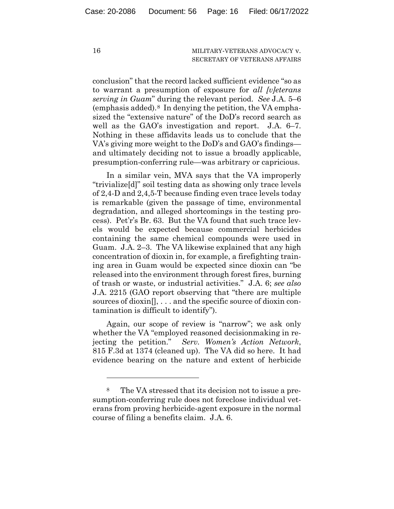conclusion" that the record lacked sufficient evidence "so as to warrant a presumption of exposure for *all [v]eterans serving in Guam*" during the relevant period. *See* J.A. 5–6 (emphasis added). $8 \text{ In denying the portion, the VA empha-}$ sized the "extensive nature" of the DoD's record search as well as the GAO's investigation and report. J.A. 6–7. Nothing in these affidavits leads us to conclude that the VA's giving more weight to the DoD's and GAO's findings and ultimately deciding not to issue a broadly applicable, presumption-conferring rule—was arbitrary or capricious.

In a similar vein, MVA says that the VA improperly "trivialize[d]" soil testing data as showing only trace levels of 2,4-D and 2,4,5-T because finding even trace levels today is remarkable (given the passage of time, environmental degradation, and alleged shortcomings in the testing process). Pet'r's Br. 63. But the VA found that such trace levels would be expected because commercial herbicides containing the same chemical compounds were used in Guam. J.A. 2–3. The VA likewise explained that any high concentration of dioxin in, for example, a firefighting training area in Guam would be expected since dioxin can "be released into the environment through forest fires, burning of trash or waste, or industrial activities." J.A. 6; *see also* J.A. 2215 (GAO report observing that "there are multiple sources of dioxin[], . . . and the specific source of dioxin contamination is difficult to identify").

Again, our scope of review is "narrow"; we ask only whether the VA "employed reasoned decisionmaking in rejecting the petition." *Serv. Women's Action Network*, 815 F.3d at 1374 (cleaned up). The VA did so here. It had evidence bearing on the nature and extent of herbicide

<sup>8</sup> The VA stressed that its decision not to issue a presumption-conferring rule does not foreclose individual veterans from proving herbicide-agent exposure in the normal course of filing a benefits claim. J.A. 6.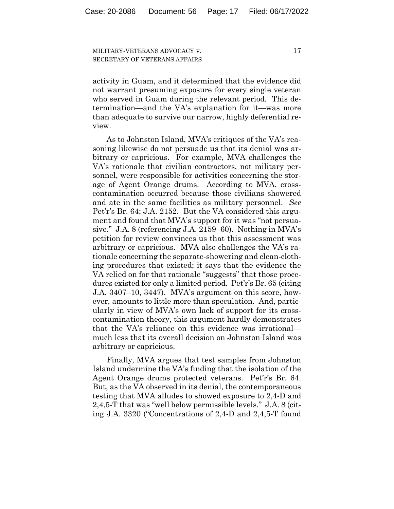activity in Guam, and it determined that the evidence did not warrant presuming exposure for every single veteran who served in Guam during the relevant period. This determination—and the VA's explanation for it—was more than adequate to survive our narrow, highly deferential review.

As to Johnston Island, MVA's critiques of the VA's reasoning likewise do not persuade us that its denial was arbitrary or capricious. For example, MVA challenges the VA's rationale that civilian contractors, not military personnel, were responsible for activities concerning the storage of Agent Orange drums. According to MVA, crosscontamination occurred because those civilians showered and ate in the same facilities as military personnel. *See*  Pet'r's Br. 64; J.A. 2152. But the VA considered this argument and found that MVA's support for it was "not persuasive." J.A. 8 (referencing J.A. 2159–60). Nothing in MVA's petition for review convinces us that this assessment was arbitrary or capricious. MVA also challenges the VA's rationale concerning the separate-showering and clean-clothing procedures that existed; it says that the evidence the VA relied on for that rationale "suggests" that those procedures existed for only a limited period. Pet'r's Br. 65 (citing J.A. 3407–10, 3447). MVA's argument on this score, however, amounts to little more than speculation. And, particularly in view of MVA's own lack of support for its crosscontamination theory, this argument hardly demonstrates that the VA's reliance on this evidence was irrational much less that its overall decision on Johnston Island was arbitrary or capricious.

Finally, MVA argues that test samples from Johnston Island undermine the VA's finding that the isolation of the Agent Orange drums protected veterans. Pet'r's Br. 64. But, as the VA observed in its denial, the contemporaneous testing that MVA alludes to showed exposure to 2,4-D and 2,4,5-T that was "well below permissible levels." J.A. 8 (citing J.A. 3320 ("Concentrations of 2,4-D and 2,4,5-T found